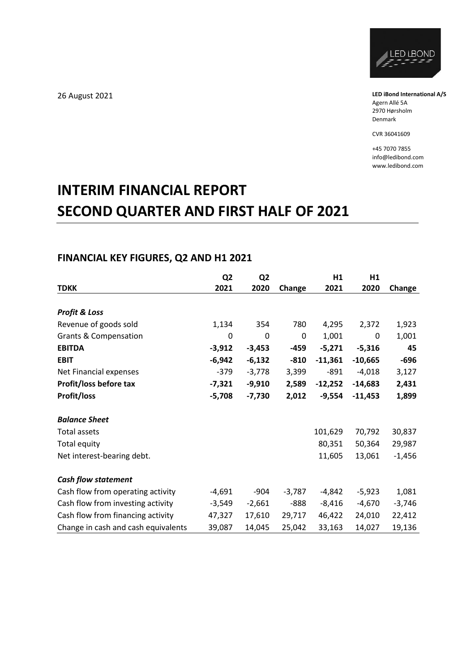

**LED iBond International A/S** Agern Allé 5A 2970 Hørsholm Denmark

CVR 36041609

+45 7070 7855 info@ledibond.com www.ledibond.com

# **INTERIM FINANCIAL REPORT SECOND QUARTER AND FIRST HALF OF 2021**

# **FINANCIAL KEY FIGURES, Q2 AND H1 2021**

|                                     | Q <sub>2</sub> | Q <sub>2</sub> |          | H1        | H1        |          |
|-------------------------------------|----------------|----------------|----------|-----------|-----------|----------|
| <b>TDKK</b>                         | 2021           | 2020           | Change   | 2021      | 2020      | Change   |
|                                     |                |                |          |           |           |          |
| <b>Profit &amp; Loss</b>            |                |                |          |           |           |          |
| Revenue of goods sold               | 1,134          | 354            | 780      | 4,295     | 2,372     | 1,923    |
| <b>Grants &amp; Compensation</b>    | 0              | 0              | 0        | 1,001     | 0         | 1,001    |
| <b>EBITDA</b>                       | $-3,912$       | $-3,453$       | $-459$   | $-5,271$  | $-5,316$  | 45       |
| <b>EBIT</b>                         | $-6,942$       | $-6,132$       | $-810$   | $-11,361$ | $-10,665$ | $-696$   |
| Net Financial expenses              | $-379$         | $-3,778$       | 3,399    | $-891$    | $-4,018$  | 3,127    |
| Profit/loss before tax              | $-7,321$       | $-9,910$       | 2,589    | $-12,252$ | $-14,683$ | 2,431    |
| Profit/loss                         | $-5,708$       | $-7,730$       | 2,012    | $-9,554$  | $-11,453$ | 1,899    |
|                                     |                |                |          |           |           |          |
| <b>Balance Sheet</b>                |                |                |          |           |           |          |
| Total assets                        |                |                |          | 101,629   | 70,792    | 30,837   |
| <b>Total equity</b>                 |                |                |          | 80,351    | 50,364    | 29,987   |
| Net interest-bearing debt.          |                |                |          | 11,605    | 13,061    | $-1,456$ |
| <b>Cash flow statement</b>          |                |                |          |           |           |          |
| Cash flow from operating activity   | $-4,691$       | $-904$         | $-3,787$ | $-4,842$  | $-5,923$  | 1,081    |
| Cash flow from investing activity   | $-3,549$       | $-2,661$       | $-888$   | $-8,416$  | $-4,670$  | $-3,746$ |
| Cash flow from financing activity   | 47,327         | 17,610         | 29,717   | 46,422    | 24,010    | 22,412   |
| Change in cash and cash equivalents | 39,087         | 14,045         | 25,042   | 33,163    | 14,027    | 19,136   |

26 August 2021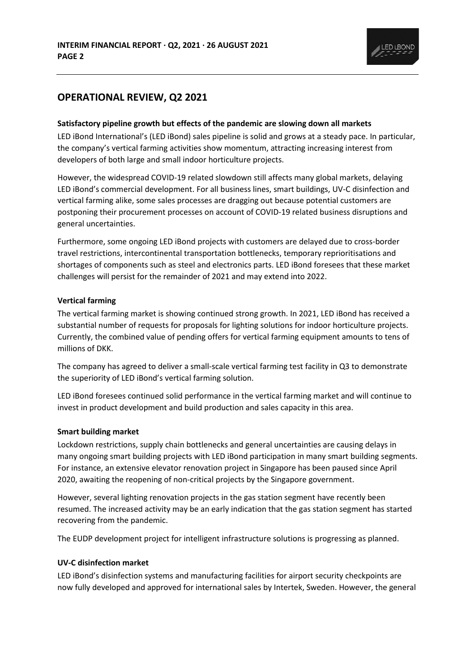

# **OPERATIONAL REVIEW, Q2 2021**

## **Satisfactory pipeline growth but effects of the pandemic are slowing down all markets**

LED iBond International's (LED iBond) sales pipeline is solid and grows at a steady pace. In particular, the company's vertical farming activities show momentum, attracting increasing interest from developers of both large and small indoor horticulture projects.

However, the widespread COVID-19 related slowdown still affects many global markets, delaying LED iBond's commercial development. For all business lines, smart buildings, UV-C disinfection and vertical farming alike, some sales processes are dragging out because potential customers are postponing their procurement processes on account of COVID-19 related business disruptions and general uncertainties.

Furthermore, some ongoing LED iBond projects with customers are delayed due to cross-border travel restrictions, intercontinental transportation bottlenecks, temporary reprioritisations and shortages of components such as steel and electronics parts. LED iBond foresees that these market challenges will persist for the remainder of 2021 and may extend into 2022.

## **Vertical farming**

The vertical farming market is showing continued strong growth. In 2021, LED iBond has received a substantial number of requests for proposals for lighting solutions for indoor horticulture projects. Currently, the combined value of pending offers for vertical farming equipment amounts to tens of millions of DKK.

The company has agreed to deliver a small-scale vertical farming test facility in Q3 to demonstrate the superiority of LED iBond's vertical farming solution.

LED iBond foresees continued solid performance in the vertical farming market and will continue to invest in product development and build production and sales capacity in this area.

## **Smart building market**

Lockdown restrictions, supply chain bottlenecks and general uncertainties are causing delays in many ongoing smart building projects with LED iBond participation in many smart building segments. For instance, an extensive elevator renovation project in Singapore has been paused since April 2020, awaiting the reopening of non-critical projects by the Singapore government.

However, several lighting renovation projects in the gas station segment have recently been resumed. The increased activity may be an early indication that the gas station segment has started recovering from the pandemic.

The EUDP development project for intelligent infrastructure solutions is progressing as planned.

## **UV-C disinfection market**

LED iBond's disinfection systems and manufacturing facilities for airport security checkpoints are now fully developed and approved for international sales by Intertek, Sweden. However, the general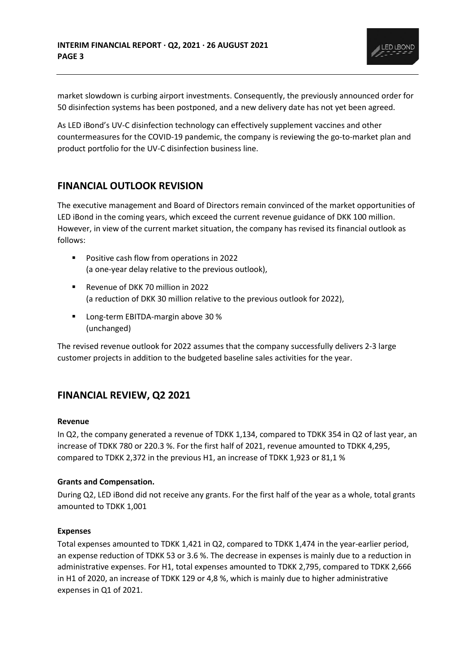

market slowdown is curbing airport investments. Consequently, the previously announced order for 50 disinfection systems has been postponed, and a new delivery date has not yet been agreed.

As LED iBond's UV-C disinfection technology can effectively supplement vaccines and other countermeasures for the COVID-19 pandemic, the company is reviewing the go-to-market plan and product portfolio for the UV-C disinfection business line.

# **FINANCIAL OUTLOOK REVISION**

The executive management and Board of Directors remain convinced of the market opportunities of LED iBond in the coming years, which exceed the current revenue guidance of DKK 100 million. However, in view of the current market situation, the company has revised its financial outlook as follows:

- Positive cash flow from operations in 2022 (a one-year delay relative to the previous outlook),
- Revenue of DKK 70 million in 2022 (a reduction of DKK 30 million relative to the previous outlook for 2022),
- Long-term EBITDA-margin above 30 % (unchanged)

The revised revenue outlook for 2022 assumes that the company successfully delivers 2-3 large customer projects in addition to the budgeted baseline sales activities for the year.

# **FINANCIAL REVIEW, Q2 2021**

## **Revenue**

In Q2, the company generated a revenue of TDKK 1,134, compared to TDKK 354 in Q2 of last year, an increase of TDKK 780 or 220.3 %. For the first half of 2021, revenue amounted to TDKK 4,295, compared to TDKK 2,372 in the previous H1, an increase of TDKK 1,923 or 81,1 %

## **Grants and Compensation.**

During Q2, LED iBond did not receive any grants. For the first half of the year as a whole, total grants amounted to TDKK 1,001

## **Expenses**

Total expenses amounted to TDKK 1,421 in Q2, compared to TDKK 1,474 in the year-earlier period, an expense reduction of TDKK 53 or 3.6 %. The decrease in expenses is mainly due to a reduction in administrative expenses. For H1, total expenses amounted to TDKK 2,795, compared to TDKK 2,666 in H1 of 2020, an increase of TDKK 129 or 4,8 %, which is mainly due to higher administrative expenses in Q1 of 2021.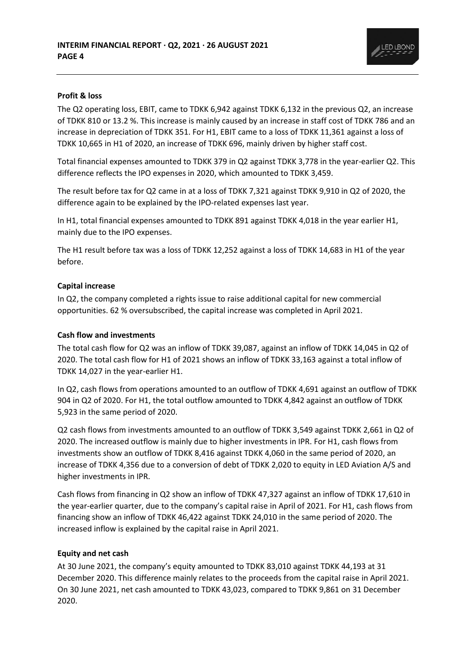

## **Profit & loss**

The Q2 operating loss, EBIT, came to TDKK 6,942 against TDKK 6,132 in the previous Q2, an increase of TDKK 810 or 13.2 %. This increase is mainly caused by an increase in staff cost of TDKK 786 and an increase in depreciation of TDKK 351. For H1, EBIT came to a loss of TDKK 11,361 against a loss of TDKK 10,665 in H1 of 2020, an increase of TDKK 696, mainly driven by higher staff cost.

Total financial expenses amounted to TDKK 379 in Q2 against TDKK 3,778 in the year-earlier Q2. This difference reflects the IPO expenses in 2020, which amounted to TDKK 3,459.

The result before tax for Q2 came in at a loss of TDKK 7,321 against TDKK 9,910 in Q2 of 2020, the difference again to be explained by the IPO-related expenses last year.

In H1, total financial expenses amounted to TDKK 891 against TDKK 4,018 in the year earlier H1, mainly due to the IPO expenses.

The H1 result before tax was a loss of TDKK 12,252 against a loss of TDKK 14,683 in H1 of the year before.

#### **Capital increase**

In Q2, the company completed a rights issue to raise additional capital for new commercial opportunities. 62 % oversubscribed, the capital increase was completed in April 2021.

#### **Cash flow and investments**

The total cash flow for Q2 was an inflow of TDKK 39,087, against an inflow of TDKK 14,045 in Q2 of 2020. The total cash flow for H1 of 2021 shows an inflow of TDKK 33,163 against a total inflow of TDKK 14,027 in the year-earlier H1.

In Q2, cash flows from operations amounted to an outflow of TDKK 4,691 against an outflow of TDKK 904 in Q2 of 2020. For H1, the total outflow amounted to TDKK 4,842 against an outflow of TDKK 5,923 in the same period of 2020.

Q2 cash flows from investments amounted to an outflow of TDKK 3,549 against TDKK 2,661 in Q2 of 2020. The increased outflow is mainly due to higher investments in IPR. For H1, cash flows from investments show an outflow of TDKK 8,416 against TDKK 4,060 in the same period of 2020, an increase of TDKK 4,356 due to a conversion of debt of TDKK 2,020 to equity in LED Aviation A/S and higher investments in IPR.

Cash flows from financing in Q2 show an inflow of TDKK 47,327 against an inflow of TDKK 17,610 in the year-earlier quarter, due to the company's capital raise in April of 2021. For H1, cash flows from financing show an inflow of TDKK 46,422 against TDKK 24,010 in the same period of 2020. The increased inflow is explained by the capital raise in April 2021.

#### **Equity and net cash**

At 30 June 2021, the company's equity amounted to TDKK 83,010 against TDKK 44,193 at 31 December 2020. This difference mainly relates to the proceeds from the capital raise in April 2021. On 30 June 2021, net cash amounted to TDKK 43,023, compared to TDKK 9,861 on 31 December 2020.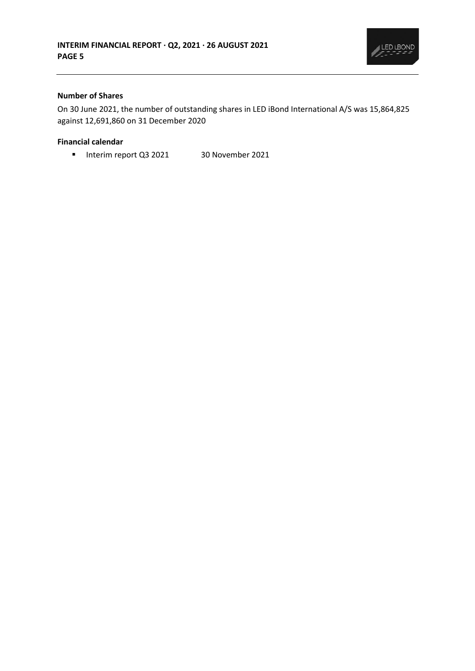

## **Number of Shares**

On 30 June 2021, the number of outstanding shares in LED iBond International A/S was 15,864,825 against 12,691,860 on 31 December 2020

#### **Financial calendar**

■ Interim report Q3 2021 30 November 2021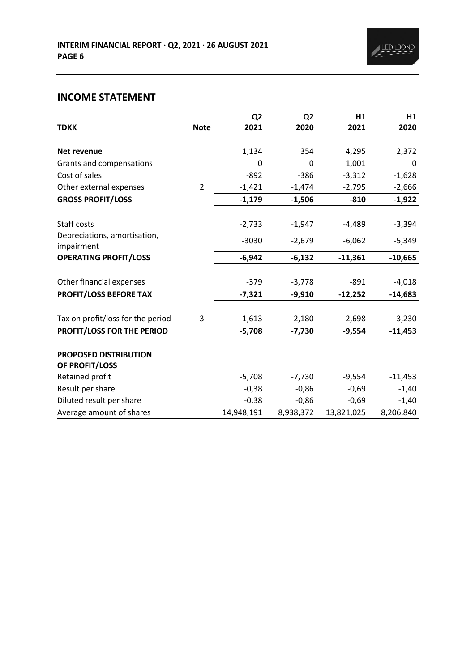# **INCOME STATEMENT**

|                                            |                | Q <sub>2</sub> | Q <sub>2</sub> | H1         | H1                 |
|--------------------------------------------|----------------|----------------|----------------|------------|--------------------|
| <b>TDKK</b>                                | <b>Note</b>    | 2021           | 2020           | 2021       | 2020               |
|                                            |                |                |                |            |                    |
| Net revenue                                |                | 1,134          | 354            | 4,295      | 2,372              |
| Grants and compensations                   |                | 0              | 0              | 1,001      | 0                  |
| Cost of sales                              |                | $-892$         | $-386$         | $-3,312$   | $-1,628$           |
| Other external expenses                    | $\overline{2}$ | $-1,421$       | $-1,474$       | $-2,795$   | $-2,666$           |
| <b>GROSS PROFIT/LOSS</b>                   |                | $-1,179$       | $-1,506$       | $-810$     | $-1,922$           |
| Staff costs                                |                | $-2,733$       | $-1,947$       | $-4,489$   | $-3,394$           |
| Depreciations, amortisation,<br>impairment |                | $-3030$        | $-2,679$       | $-6,062$   | $-5,349$           |
| <b>OPERATING PROFIT/LOSS</b>               |                | $-6,942$       | $-6,132$       | $-11,361$  | $-10,665$          |
| Other financial expenses                   |                | $-379$         | $-3,778$       | $-891$     | $-4,018$           |
| PROFIT/LOSS BEFORE TAX                     |                | $-7,321$       | $-9,910$       | $-12,252$  | $-14,683$          |
| Tax on profit/loss for the period          | 3              | 1,613          | 2,180          | 2,698      |                    |
| PROFIT/LOSS FOR THE PERIOD                 |                | $-5,708$       | $-7,730$       | $-9,554$   | 3,230<br>$-11,453$ |
|                                            |                |                |                |            |                    |
| PROPOSED DISTRIBUTION<br>OF PROFIT/LOSS    |                |                |                |            |                    |
| Retained profit                            |                | $-5,708$       | $-7,730$       | $-9,554$   | $-11,453$          |
| Result per share                           |                | $-0,38$        | $-0,86$        | $-0,69$    | $-1,40$            |
| Diluted result per share                   |                | $-0,38$        | $-0,86$        | $-0,69$    | $-1,40$            |
| Average amount of shares                   |                | 14,948,191     | 8,938,372      | 13,821,025 | 8,206,840          |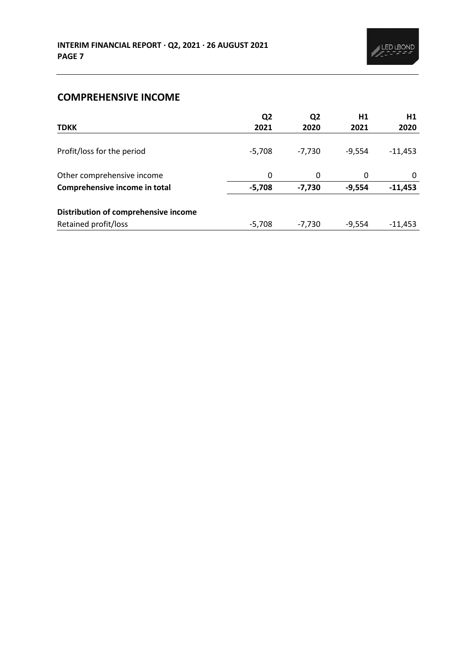# **COMPREHENSIVE INCOME**

| <b>TDKK</b>                          | Q <sub>2</sub><br>2021 | Q <sub>2</sub><br>2020 | H1<br>2021 | H1<br>2020 |
|--------------------------------------|------------------------|------------------------|------------|------------|
|                                      |                        |                        |            |            |
| Profit/loss for the period           | $-5,708$               | $-7,730$               | $-9,554$   | $-11,453$  |
| Other comprehensive income           | 0                      | 0                      | 0          | 0          |
| Comprehensive income in total        | $-5,708$               | $-7,730$               | $-9,554$   | $-11,453$  |
| Distribution of comprehensive income |                        |                        |            |            |
| Retained profit/loss                 | $-5,708$               | $-7,730$               | $-9,554$   | $-11,453$  |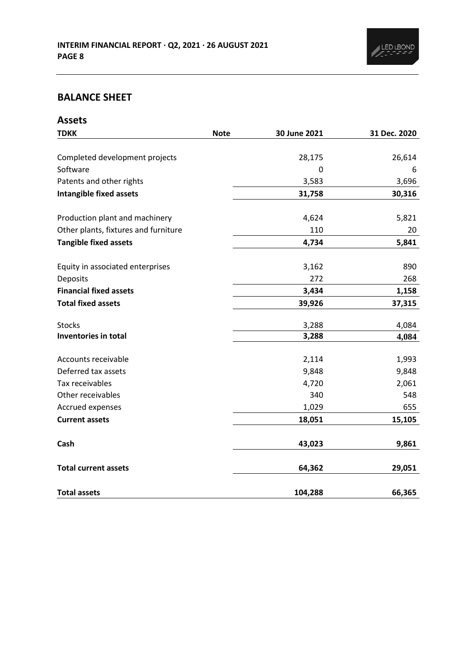# **BALANCE SHEET**

| <b>Assets</b>                        |             |              |              |
|--------------------------------------|-------------|--------------|--------------|
| <b>TDKK</b>                          | <b>Note</b> | 30 June 2021 | 31 Dec. 2020 |
|                                      |             |              |              |
| Completed development projects       |             | 28,175       | 26,614       |
| Software                             |             | 0            | 6            |
| Patents and other rights             |             | 3,583        | 3,696        |
| <b>Intangible fixed assets</b>       |             | 31,758       | 30,316       |
| Production plant and machinery       |             | 4,624        | 5,821        |
| Other plants, fixtures and furniture |             | 110          | 20           |
| <b>Tangible fixed assets</b>         |             | 4,734        | 5,841        |
| Equity in associated enterprises     |             | 3,162        | 890          |
| Deposits                             |             | 272          | 268          |
| <b>Financial fixed assets</b>        |             | 3,434        | 1,158        |
| <b>Total fixed assets</b>            |             | 39,926       | 37,315       |
| <b>Stocks</b>                        |             | 3,288        | 4,084        |
| Inventories in total                 |             | 3,288        | 4,084        |
| Accounts receivable                  |             | 2,114        | 1,993        |
| Deferred tax assets                  |             | 9,848        | 9,848        |
| Tax receivables                      |             | 4,720        | 2,061        |
| Other receivables                    |             | 340          | 548          |
| Accrued expenses                     |             | 1,029        | 655          |
| <b>Current assets</b>                |             | 18,051       | 15,105       |
| Cash                                 |             | 43,023       | 9,861        |
| <b>Total current assets</b>          |             | 64,362       | 29,051       |
| <b>Total assets</b>                  |             | 104,288      | 66,365       |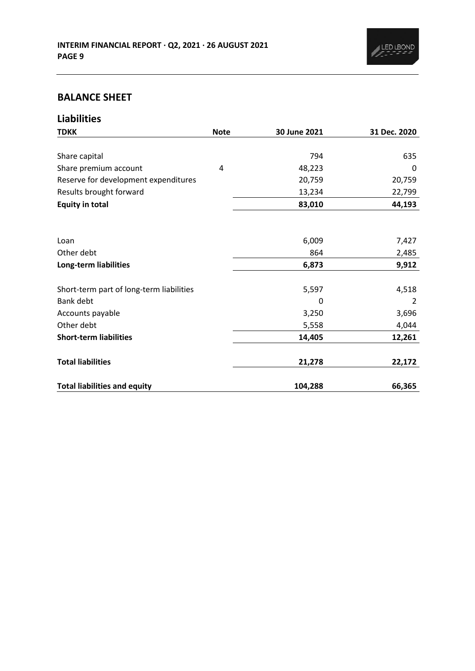

# **BALANCE SHEET**

| <b>Liabilities</b>                       |             |              |              |
|------------------------------------------|-------------|--------------|--------------|
| <b>TDKK</b>                              | <b>Note</b> | 30 June 2021 | 31 Dec. 2020 |
|                                          |             |              |              |
| Share capital                            |             | 794          | 635          |
| Share premium account                    | 4           | 48,223       | 0            |
| Reserve for development expenditures     |             | 20,759       | 20,759       |
| Results brought forward                  |             | 13,234       | 22,799       |
| <b>Equity in total</b>                   |             | 83,010       | 44,193       |
|                                          |             |              |              |
| Loan                                     |             | 6,009        | 7,427        |
| Other debt                               |             | 864          | 2,485        |
| Long-term liabilities                    |             | 6,873        | 9,912        |
| Short-term part of long-term liabilities |             | 5,597        | 4,518        |
| <b>Bank debt</b>                         |             | 0            | 2            |
| Accounts payable                         |             | 3,250        | 3,696        |
| Other debt                               |             | 5,558        | 4,044        |
| <b>Short-term liabilities</b>            |             | 14,405       | 12,261       |
| <b>Total liabilities</b>                 |             | 21,278       | 22,172       |
| <b>Total liabilities and equity</b>      |             | 104,288      | 66,365       |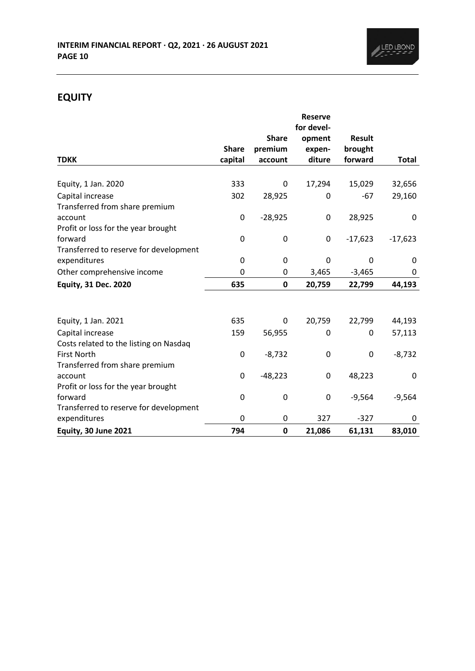

# **EQUITY**

|                                                |              |              | <b>Reserve</b> |               |              |
|------------------------------------------------|--------------|--------------|----------------|---------------|--------------|
|                                                |              |              | for devel-     |               |              |
|                                                |              | <b>Share</b> | opment         | <b>Result</b> |              |
|                                                | <b>Share</b> | premium      | expen-         | brought       |              |
| <b>TDKK</b>                                    | capital      | account      | diture         | forward       | <b>Total</b> |
| Equity, 1 Jan. 2020                            | 333          | 0            | 17,294         | 15,029        | 32,656       |
| Capital increase                               | 302          |              | 0              | $-67$         | 29,160       |
| Transferred from share premium                 |              | 28,925       |                |               |              |
| account                                        | 0            | $-28,925$    | $\pmb{0}$      | 28,925        | 0            |
|                                                |              |              |                |               |              |
| Profit or loss for the year brought<br>forward |              |              |                |               |              |
|                                                | 0            | 0            | 0              | $-17,623$     | $-17,623$    |
| Transferred to reserve for development         |              |              |                |               |              |
| expenditures                                   | 0            | 0            | 0              | 0             | 0            |
| Other comprehensive income                     | 0            | 0            | 3,465          | $-3,465$      | 0            |
| <b>Equity, 31 Dec. 2020</b>                    | 635          | 0            | 20,759         | 22,799        | 44,193       |
|                                                |              |              |                |               |              |
| Equity, 1 Jan. 2021                            | 635          | 0            | 20,759         | 22,799        | 44,193       |
| Capital increase                               | 159          | 56,955       | 0              | 0             | 57,113       |
| Costs related to the listing on Nasdaq         |              |              |                |               |              |
| First North                                    | 0            | $-8,732$     | 0              | 0             | $-8,732$     |
| Transferred from share premium                 |              |              |                |               |              |
| account                                        | 0            | $-48,223$    | 0              | 48,223        | $\mathbf{0}$ |
| Profit or loss for the year brought            |              |              |                |               |              |
| forward                                        | 0            | 0            | 0              | $-9,564$      | $-9,564$     |
| Transferred to reserve for development         |              |              |                |               |              |
| expenditures                                   | 0            | 0            | 327            | $-327$        | 0            |
| <b>Equity, 30 June 2021</b>                    | 794          | 0            | 21,086         | 61,131        | 83,010       |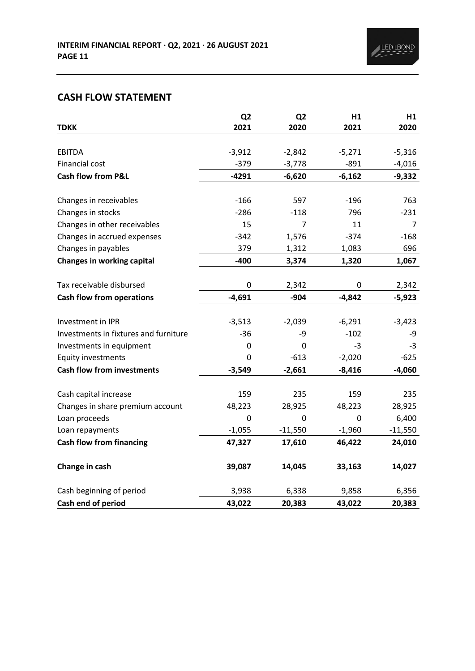# **CASH FLOW STATEMENT**

|                                       | Q <sub>2</sub> | Q <sub>2</sub> | H1       | H1        |
|---------------------------------------|----------------|----------------|----------|-----------|
| <b>TDKK</b>                           | 2021           | 2020           | 2021     | 2020      |
|                                       |                |                |          |           |
| <b>EBITDA</b>                         | $-3,912$       | $-2,842$       | $-5,271$ | $-5,316$  |
| Financial cost                        | $-379$         | $-3,778$       | $-891$   | $-4,016$  |
| <b>Cash flow from P&amp;L</b>         | $-4291$        | $-6,620$       | $-6,162$ | $-9,332$  |
|                                       |                |                |          |           |
| Changes in receivables                | $-166$         | 597            | $-196$   | 763       |
| Changes in stocks                     | $-286$         | $-118$         | 796      | $-231$    |
| Changes in other receivables          | 15             | 7              | 11       | 7         |
| Changes in accrued expenses           | $-342$         | 1,576          | $-374$   | $-168$    |
| Changes in payables                   | 379            | 1,312          | 1,083    | 696       |
| <b>Changes in working capital</b>     | $-400$         | 3,374          | 1,320    | 1,067     |
|                                       |                |                |          |           |
| Tax receivable disbursed              | $\pmb{0}$      | 2,342          | 0        | 2,342     |
| <b>Cash flow from operations</b>      | $-4,691$       | $-904$         | $-4,842$ | $-5,923$  |
|                                       |                |                |          |           |
| Investment in IPR                     | $-3,513$       | $-2,039$       | $-6,291$ | $-3,423$  |
| Investments in fixtures and furniture | $-36$          | -9             | $-102$   | -9        |
| Investments in equipment              | 0              | 0              | $-3$     | -3        |
| <b>Equity investments</b>             | 0              | $-613$         | $-2,020$ | $-625$    |
| <b>Cash flow from investments</b>     | $-3,549$       | $-2,661$       | $-8,416$ | $-4,060$  |
|                                       |                |                |          |           |
| Cash capital increase                 | 159            | 235            | 159      | 235       |
| Changes in share premium account      | 48,223         | 28,925         | 48,223   | 28,925    |
| Loan proceeds                         | 0              | 0              | 0        | 6,400     |
| Loan repayments                       | $-1,055$       | $-11,550$      | $-1,960$ | $-11,550$ |
| <b>Cash flow from financing</b>       | 47,327         | 17,610         | 46,422   | 24,010    |
| Change in cash                        | 39,087         | 14,045         | 33,163   | 14,027    |
| Cash beginning of period              | 3,938          | 6,338          | 9,858    | 6,356     |
| Cash end of period                    | 43,022         | 20,383         | 43,022   | 20,383    |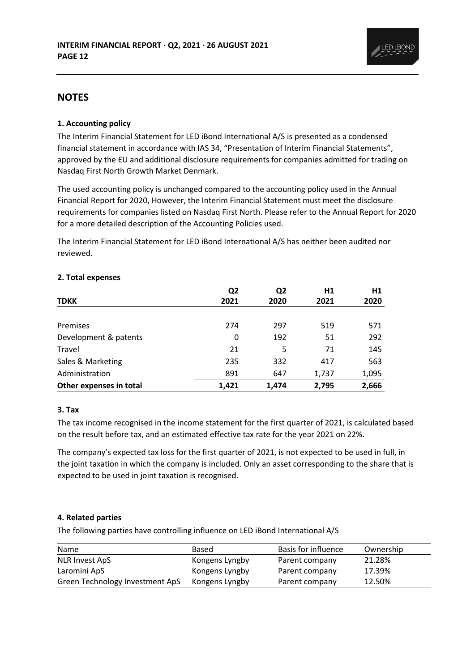

## **NOTES**

## **1. Accounting policy**

The Interim Financial Statement for LED iBond International A/S is presented as a condensed financial statement in accordance with IAS 34, "Presentation of Interim Financial Statements", approved by the EU and additional disclosure requirements for companies admitted for trading on Nasdaq First North Growth Market Denmark.

The used accounting policy is unchanged compared to the accounting policy used in the Annual Financial Report for 2020, However, the Interim Financial Statement must meet the disclosure requirements for companies listed on Nasdaq First North. Please refer to the Annual Report for 2020 for a more detailed description of the Accounting Policies used.

The Interim Financial Statement for LED iBond International A/S has neither been audited nor reviewed.

|                         | Q <sub>2</sub> | Q <sub>2</sub> | H1    | H1    |
|-------------------------|----------------|----------------|-------|-------|
| <b>TDKK</b>             | 2021           | 2020           | 2021  | 2020  |
|                         |                |                |       |       |
| Premises                | 274            | 297            | 519   | 571   |
| Development & patents   | 0              | 192            | 51    | 292   |
| Travel                  | 21             | 5              | 71    | 145   |
| Sales & Marketing       | 235            | 332            | 417   | 563   |
| Administration          | 891            | 647            | 1,737 | 1,095 |
| Other expenses in total | 1.421          | 1.474          | 2.795 | 2,666 |

#### **2. Total expenses**

#### **3. Tax**

The tax income recognised in the income statement for the first quarter of 2021, is calculated based on the result before tax, and an estimated effective tax rate for the year 2021 on 22%.

The company's expected tax loss for the first quarter of 2021, is not expected to be used in full, in the joint taxation in which the company is included. Only an asset corresponding to the share that is expected to be used in joint taxation is recognised.

#### **4. Related parties**

The following parties have controlling influence on LED iBond International A/S

| Name                            | Based          | Basis for influence | Ownership |
|---------------------------------|----------------|---------------------|-----------|
| <b>NLR Invest ApS</b>           | Kongens Lyngby | Parent company      | 21.28%    |
| Laromini ApS                    | Kongens Lyngby | Parent company      | 17.39%    |
| Green Technology Investment ApS | Kongens Lyngby | Parent company      | 12.50%    |